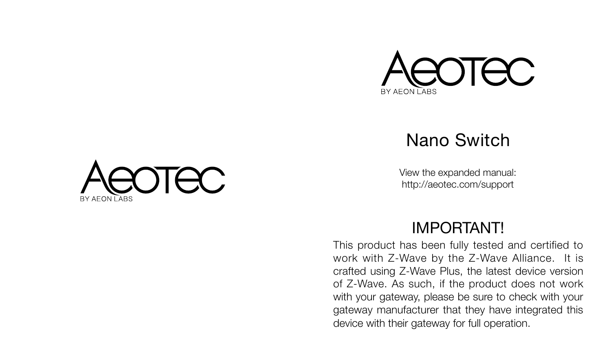

### Nano Switch

View the expanded manual: http://aeotec.com/support



### **IMPORTANT!**

This product has been fully tested and certified to work with Z-Wave by the Z-Wave Alliance. It is crafted using Z-Wave Plus, the latest device version of Z-Wave. As such, if the product does not work with your gateway, please be sure to check with your gateway manufacturer that they have integrated this device with their gateway for full operation.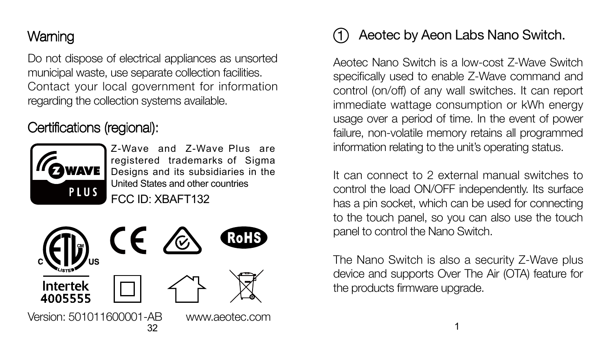# Warning

Do not dispose of electrical appliances as unsorted municipal waste, use separate collection facilities. Contact your local government for information regarding the collection systems available.

### Certifications (regional):



Z-Wave and Z-Wave Plus are registered trademarks of Sigma Designs and its subsidiaries in the United States and other countries FCC ID: XBAFT132



#### Aeotec by Aeon Labs Nano Switch. 1

Aeotec Nano Switch is a low-cost Z-Wave Switch specifically used to enable Z-Wave command and control (on/off) of any wall switches. It can report immediate wattage consumption or kWh energy usage over a period of time. In the event of power failure, non-volatile memory retains all programmed information relating to the unit's operating status.

It can connect to 2 external manual switches to control the load ON/OFF independently. Its surface has a pin socket, which can be used for connecting to the touch panel, so you can also use the touch panel to control the Nano Switch.

The Nano Switch is also a security Z-Wave plus device and supports Over The Air (OTA) feature for the products firmware upgrade.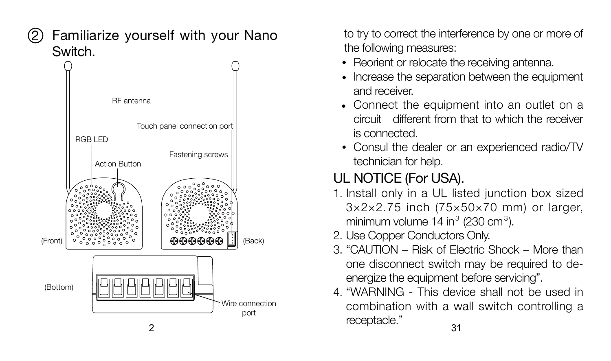2

### Familiarize yourself with your Nano Switch.



to try to correct the interference by one or more of the following measures:

- Reorient or relocate the receiving antenna.
- Increase the separation between the equipment and receiver.
- Connect the equipment into an outlet on a circuit different from that to which the receiver is connected.
- Consul the dealer or an experienced radio/TV technician for help.

# UL NOTICE (For USA).

- 1. Install only in a UL listed junction box sized 3×2×2.75 inch (75×50×70 mm) or larger, minimum volume 14 in $<sup>3</sup>$  (230 cm $<sup>3</sup>$ ).</sup></sup>
- 2. Use Copper Conductors Only.
- 3. "CAUTION Risk of Electric Shock More than one disconnect switch may be required to deenergize the equipment before servicing".
- 2  $\overline{31}$ 4. "WARNING - This device shall not be used in combination with a wall switch controlling a receptacle."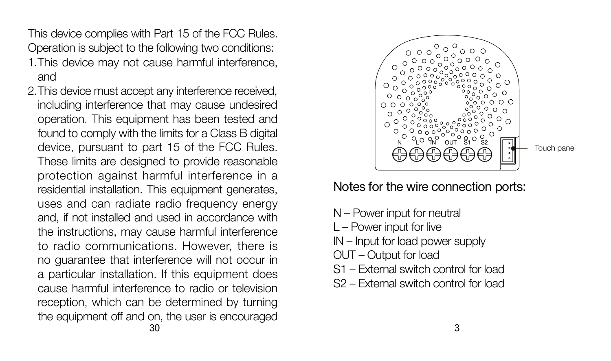This device complies with Part 15 of the FCC Rules. Operation is subject to the following two conditions:

- This device may not cause harmful interference, 1. and
- $30$  30 This device must accept any interference received, 2.including interference that may cause undesired operation. This equipment has been tested and found to comply with the limits for a Class B digital device, pursuant to part 15 of the FCC Rules. These limits are designed to provide reasonable protection against harmful interference in a residential installation. This equipment generates, uses and can radiate radio frequency energy and, if not installed and used in accordance with the instructions, may cause harmful interference to radio communications. However, there is no guarantee that interference will not occur in a particular installation. If this equipment does cause harmful interference to radio or television reception, which can be determined by turning the equipment off and on, the user is encouraged



Notes for the wire connection ports:

- N Power input for neutral
- L Power input for live
- IN Input for load power supply
- OUT Output for load
- S1 External switch control for load
- S2 External switch control for load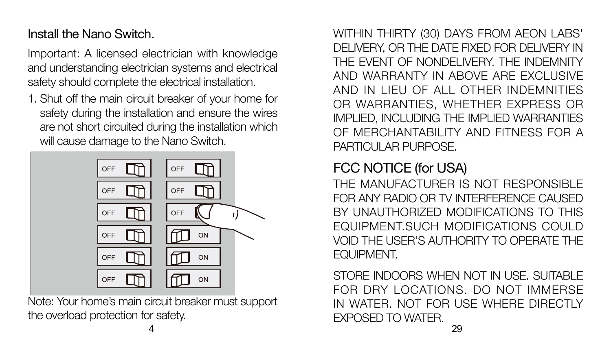### Install the Nano Switch.

Important: A licensed electrician with knowledge and understanding electrician systems and electrical safety should complete the electrical installation.

1. Shut off the main circuit breaker of your home for safety during the installation and ensure the wires are not short circuited during the installation which will cause damage to the Nano Switch.



Note: Your home's main circuit breaker must support the overload protection for safety.

WITHIN THIRTY (30) DAYS FROM AEON LABS' DELIVERY, OR THE DATE FIXED FOR DELIVERY IN THE EVENT OF NONDELIVERY. THE INDEMNITY AND WARRANTY IN ABOVE ARE EXCLUSIVE AND IN LIEU OF ALL OTHER INDEMNITIES OR WARRANTIES, WHETHER EXPRESS OR IMPLIED, INCLUDING THE IMPLIED WARRANTIES OF MERCHANTABILITY AND FITNESS FOR A PARTICULAR PURPOSE.

### FCC NOTICE (for USA)

THE MANUFACTURER IS NOT RESPONSIBLE FOR ANY RADIO OR TV INTERFERENCE CAUSED BY UNAUTHORIZED MODIFICATIONS TO THIS EQUIPMENT.SUCH MODIFICATIONS COULD VOID THE USER'S AUTHORITY TO OPERATE THE EQUIPMENT.

4 29 STORE INDOORS WHEN NOT IN USE. SUITABLE FOR DRY LOCATIONS. DO NOT IMMERSE IN WATER. NOT FOR USE WHERE DIRECTLY EXPOSED TO WATER.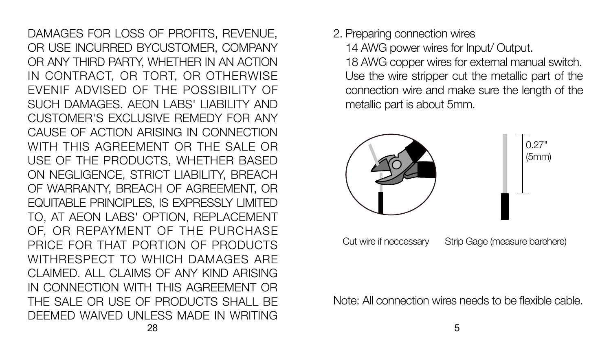28 DAMAGES FOR LOSS OF PROFITS, REVENUE, OR USE INCURRED BYCUSTOMER, COMPANY OR ANY THIRD PARTY, WHETHER IN AN ACTION IN CONTRACT, OR TORT, OR OTHERWISE EVENIF ADVISED OF THE POSSIBILITY OF SUCH DAMAGES. AEON LABS' LIABILITY AND CUSTOMER'S EXCLUSIVE REMEDY FOR ANY CAUSE OF ACTION ARISING IN CONNECTION WITH THIS AGREEMENT OR THE SALE OR USE OF THE PRODUCTS, WHETHER BASED ON NEGLIGENCE, STRICT LIABILITY, BREACH OF WARRANTY, BREACH OF AGREEMENT, OR EQUITABLE PRINCIPLES, IS EXPRESSLY LIMITED TO, AT AEON LABS' OPTION, REPLACEMENT OF, OR REPAYMENT OF THE PURCHASE PRICE FOR THAT PORTION OF PRODUCTS WITHRESPECT TO WHICH DAMAGES ARE CLAIMED. ALL CLAIMS OF ANY KIND ARISING IN CONNECTION WITH THIS AGREEMENT OR THE SALE OR USE OF PRODUCTS SHALL BE DEEMED WAIVED UNLESS MADE IN WRITING

2. Preparing connection wires

14 AWG power wires for Input/ Output.

18 AWG copper wires for external manual switch. Use the wire stripper cut the metallic part of the connection wire and make sure the length of the metallic part is about 5mm.



Cut wire if neccessary Strip Gage (measure barehere)

Note: All connection wires needs to be flexible cable.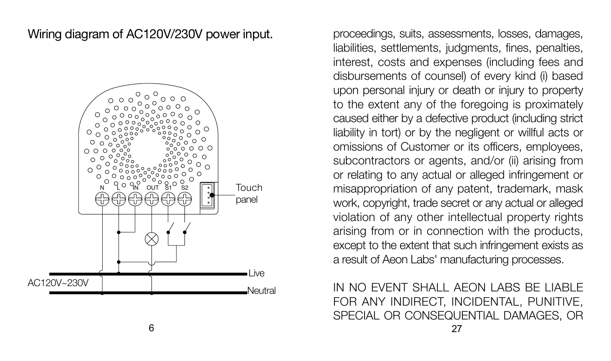Wiring diagram of AC120V/230V power input.



proceedings, suits, assessments, losses, damages, liabilities, settlements, judgments, fines, penalties, interest, costs and expenses (including fees and disbursements of counsel) of every kind (i) based upon personal injury or death or injury to property to the extent any of the foregoing is proximately caused either by a defective product (including strict liability in tort) or by the negligent or willful acts or omissions of Customer or its officers, employees, subcontractors or agents, and/or (ii) arising from or relating to any actual or alleged infringement or misappropriation of any patent, trademark, mask work, copyright, trade secret or any actual or alleged violation of any other intellectual property rights arising from or in connection with the products, except to the extent that such infringement exists as a result of Aeon Labs' manufacturing processes.

IN NO EVENT SHALL AFON LABS BE LIABLE FOR ANY INDIRECT, INCIDENTAL, PUNITIVE, SPECIAL OR CONSEQUENTIAL DAMAGES, OR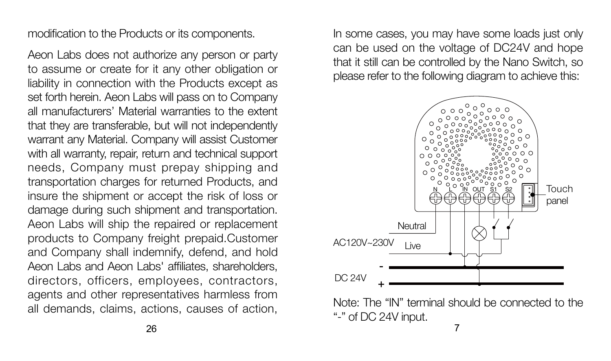modification to the Products or its components.

Aeon Labs does not authorize any person or party to assume or create for it any other obligation or liability in connection with the Products except as set forth herein. Aeon Labs will pass on to Company all manufacturers' Material warranties to the extent that they are transferable, but will not independently warrant any Material. Company will assist Customer with all warranty, repair, return and technical support needs, Company must prepay shipping and transportation charges for returned Products, and insure the shipment or accept the risk of loss or damage during such shipment and transportation. Aeon Labs will ship the repaired or replacement products to Company freight prepaid.Customer and Company shall indemnify, defend, and hold Aeon Labs and Aeon Labs' affiliates, shareholders, directors, officers, employees, contractors, agents and other representatives harmless from all demands, claims, actions, causes of action,

In some cases, you may have some loads just only can be used on the voltage of DC24V and hope that it still can be controlled by the Nano Switch, so please refer to the following diagram to achieve this:



Note: The "IN" terminal should be connected to the "-" of DC 24V input.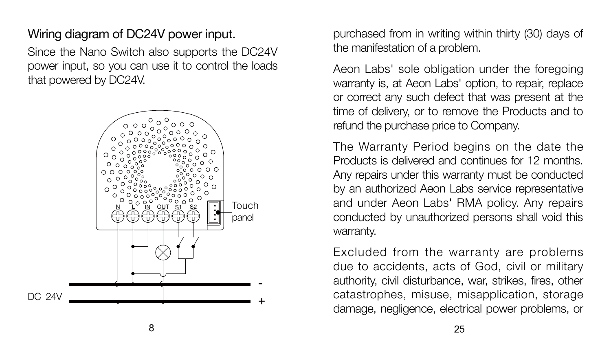#### Wiring diagram of DC24V power input.

Since the Nano Switch also supports the DC24V power input, so you can use it to control the loads that powered by DC24V.



purchased from in writing within thirty (30) days of the manifestation of a problem.

Aeon Labs' sole obligation under the foregoing warranty is, at Aeon Labs' option, to repair, replace or correct any such defect that was present at the time of delivery, or to remove the Products and to refund the purchase price to Company.

The Warranty Period begins on the date the Products is delivered and continues for 12 months. Any repairs under this warranty must be conducted by an authorized Aeon Labs service representative and under Aeon Labs' RMA policy. Any repairs conducted by unauthorized persons shall void this warranty.

Excluded from the warranty are problems due to accidents, acts of God, civil or military authority, civil disturbance, war, strikes, fires, other catastrophes, misuse, misapplication, storage damage, negligence, electrical power problems, or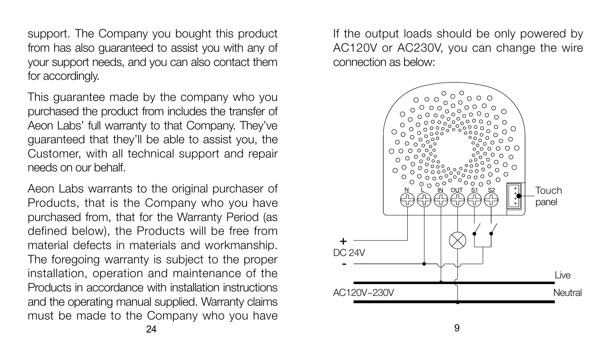support. The Company you bought this product from has also guaranteed to assist you with any of your support needs, and you can also contact them for accordingly.

This guarantee made by the company who you purchased the product from includes the transfer of Aeon Labs' full warranty to that Company. They've guaranteed that they'll be able to assist you, the Customer, with all technical support and repair needs on our behalf.

Aeon Labs warrants to the original purchaser of Products, that is the Company who you have purchased from, that for the Warranty Period (as defined below), the Products will be free from material defects in materials and workmanship. The foregoing warranty is subject to the proper installation, operation and maintenance of the Products in accordance with installation instructions and the operating manual supplied. Warranty claims must be made to the Company who you have If the output loads should be only powered by AC120V or AC230V, you can change the wire connection as below:

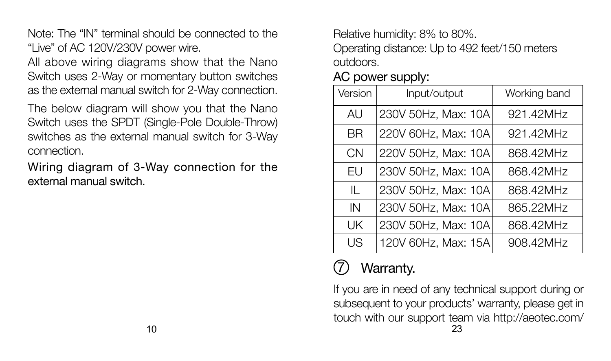Note: The "IN" terminal should be connected to the "Live" of AC 120V/230V power wire.

All above wiring diagrams show that the Nano Switch uses 2-Way or momentary button switches as the external manual switch for 2-Way connection.

The below diagram will show you that the Nano Switch uses the SPDT (Single-Pole Double-Throw) switches as the external manual switch for 3-Way connection.

Wiring diagram of 3-Way connection for the external manual switch.

Relative humidity: 8% to 80%.

Operating distance: Up to 492 feet/150 meters outdoors.

|  | AC power supply: |
|--|------------------|
|  |                  |

| Version | Input/output        | Working band |  |  |
|---------|---------------------|--------------|--|--|
| AU      | 230V 50Hz, Max: 10A | 921.42MHz    |  |  |
| ВR      | 220V 60Hz, Max: 10A | 921.42MHz    |  |  |
| CN      | 220V 50Hz, Max: 10A | 868.42MHz    |  |  |
| FU      | 230V 50Hz, Max: 10A | 868.42MHz    |  |  |
| Ш       | 230V 50Hz, Max: 10A | 868.42MHz    |  |  |
| IN      | 230V 50Hz, Max: 10A | 865.22MHz    |  |  |
| UK      | 230V 50Hz, Max: 10A | 868.42MHz    |  |  |
| US      | 120V 60Hz, Max: 15A | 908.42MHz    |  |  |

# Warranty.

If you are in need of any technical support during or subsequent to your products' warranty, please get in touch with our support team via http://aeotec.com/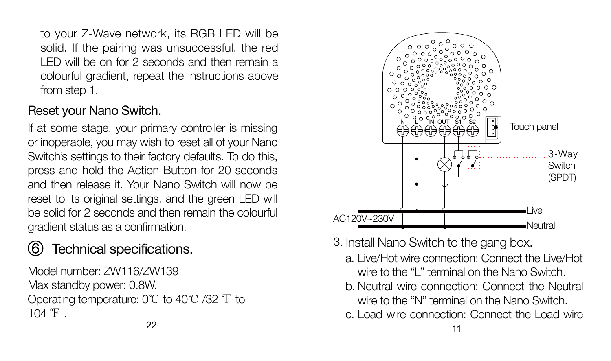to your Z-Wave network, its RGB LED will be solid. If the pairing was unsuccessful, the red LED will be on for 2 seconds and then remain a colourful gradient, repeat the instructions above from step 1.

#### Reset your Nano Switch.

If at some stage, your primary controller is missing or inoperable, you may wish to reset all of your Nano Switch's settings to their factory defaults. To do this, press and hold the Action Button for 20 seconds and then release it. Your Nano Switch will now be reset to its original settings, and the green LED will be solid for 2 seconds and then remain the colourful gradient status as a confirmation.

# Technical specifications.

Model number: ZW116/ZW139 Max standby power: 0.8W. Operating temperature: 0℃ to 40℃ /32 ℉ to  $104 \text{ }^{\circ}$  F.



3. Install Nano Switch to the gang box.

- a. Live/Hot wire connection: Connect the Live/Hot wire to the "L" terminal on the Nano Switch.
- b. Neutral wire connection: Connect the Neutral wire to the "N" terminal on the Nano Switch.
- c. Load wire connection: Connect the Load wire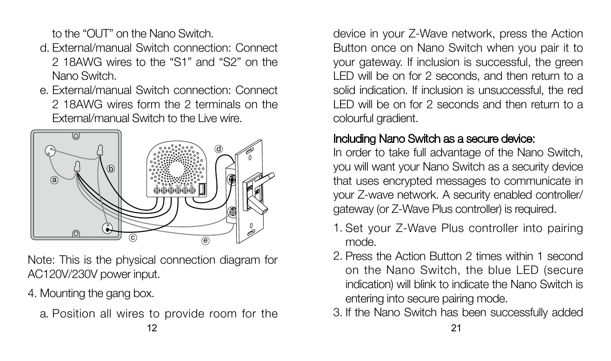to the "OUT" on the Nano Switch.

- External/manual Switch connection: Connect d. 2 18AWG wires to the "S1" and "S2" on the Nano Switch.
- External/manual Switch connection: Connect e. 2 18AWG wires form the 2 terminals on the External/manual Switch to the Live wire.



Note: This is the physical connection diagram for AC120V/230V power input.

4. Mounting the gang box.

a. Position all wires to provide room for the

device in your Z-Wave network, press the Action Button once on Nano Switch when you pair it to your gateway. If inclusion is successful, the green LED will be on for 2 seconds, and then return to a solid indication. If inclusion is unsuccessful, the red LED will be on for 2 seconds and then return to a colourful gradient.

### Including Nano Switch as a secure device:

In order to take full advantage of the Nano Switch, you will want your Nano Switch as a security device that uses encrypted messages to communicate in your Z-wave network. A security enabled controller/ gateway (or Z-Wave Plus controller) is required.

- 1. Set your Z-Wave Plus controller into pairing mode.
- 2. Press the Action Button 2 times within 1 second on the Nano Switch, the blue LED (secure indication) will blink to indicate the Nano Switch is entering into secure pairing mode.
- 3. If the Nano Switch has been successfully added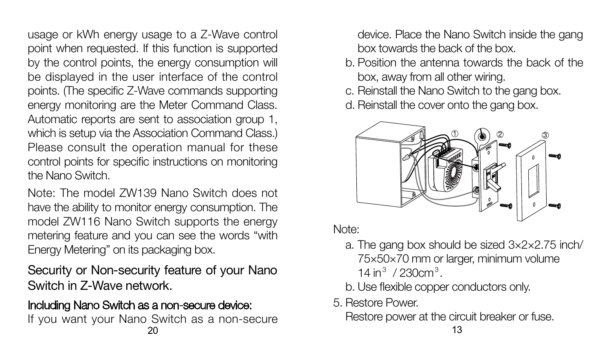usage or kWh energy usage to a Z-Wave control point when requested. If this function is supported by the control points, the energy consumption will be displayed in the user interface of the control points. (The specific Z-Wave commands supporting energy monitoring are the Meter Command Class. Automatic reports are sent to association group 1, which is setup via the Association Command Class.) Please consult the operation manual for these control points for specific instructions on monitoring the Nano Switch.

Note: The model ZW139 Nano Switch does not have the ability to monitor energy consumption. The model ZW116 Nano Switch supports the energy metering feature and you can see the words "with Energy Metering" on its packaging box.

Security or Non-security feature of your Nano Switch in Z-Wave network.

#### Including Nano Switch as a non-secure device:

 $20$  and  $13$ If you want your Nano Switch as a non-secure

device. Place the Nano Switch inside the gang box towards the back of the box.

- b. Position the antenna towards the back of the box, away from all other wiring.
- c. Reinstall the Nano Switch to the gang box.
- d. Reinstall the cover onto the gang box.



Note:

- The gang box should be sized 3×2×2.75 inch/ a. 75×50×70 mm or larger, minimum volume 14 in $3/230$ cm $3.$
- b. Use flexible copper conductors only.

5. Restore Power.

Restore power at the circuit breaker or fuse.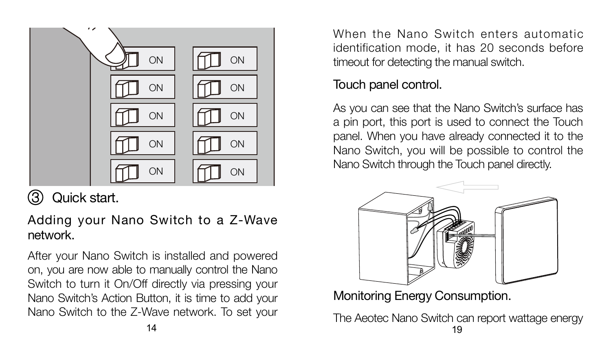

# 3 Quick start.

Adding your Nano Switch to a Z-Wave network.

After your Nano Switch is installed and powered on, you are now able to manually control the Nano Switch to turn it On/Off directly via pressing your Nano Switch's Action Button, it is time to add your Nano Switch to the Z-Wave network. To set your

When the Nano Switch enters automatic identification mode, it has 20 seconds before timeout for detecting the manual switch.

### Touch panel control.

As you can see that the Nano Switch's surface has a pin port, this port is used to connect the Touch panel. When you have already connected it to the Nano Switch, you will be possible to control the Nano Switch through the Touch panel directly.



Monitoring Energy Consumption.

 $14$  19 The Aeotec Nano Switch can report wattage energy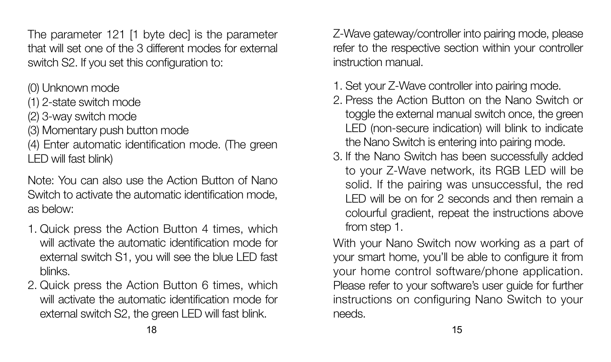The parameter 121 [1 byte dec] is the parameter that will set one of the 3 different modes for external switch S2. If you set this configuration to:

(0) Unknown mode

(1) 2-state switch mode

(2) 3-way switch mode

(3) Momentary push button mode

(4) Enter automatic identification mode. (The green LED will fast blink)

Note: You can also use the Action Button of Nano Switch to activate the automatic identification mode, as below:

- 1. Quick press the Action Button 4 times, which will activate the automatic identification mode for external switch S1, you will see the blue LED fast blinks.
- 2. Quick press the Action Button 6 times, which will activate the automatic identification mode for external switch S2, the green LED will fast blink.

Z-Wave gateway/controller into pairing mode, please refer to the respective section within your controller instruction manual.

- 1. Set your Z-Wave controller into pairing mode.
- 2. Press the Action Button on the Nano Switch or toggle the external manual switch once, the green LED (non-secure indication) will blink to indicate the Nano Switch is entering into pairing mode.
- 3. If the Nano Switch has been successfully added to your Z-Wave network, its RGB LED will be solid. If the pairing was unsuccessful, the red LED will be on for 2 seconds and then remain a colourful gradient, repeat the instructions above from step 1.

With your Nano Switch now working as a part of your smart home, you'll be able to configure it from your home control software/phone application. Please refer to your software's user guide for further instructions on configuring Nano Switch to your needs.